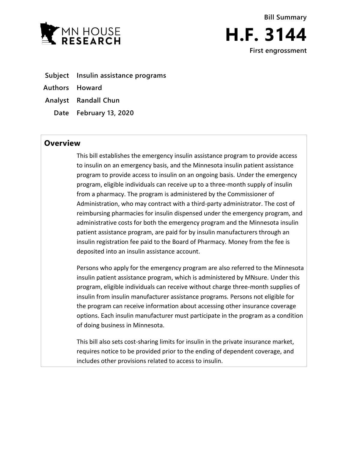

**First engrossment**

- **Subject Insulin assistance programs**
- **Authors Howard**
- **Analyst Randall Chun**
	- **Date February 13, 2020**

# **Overview**

This bill establishes the emergency insulin assistance program to provide access to insulin on an emergency basis, and the Minnesota insulin patient assistance program to provide access to insulin on an ongoing basis. Under the emergency program, eligible individuals can receive up to a three-month supply of insulin from a pharmacy. The program is administered by the Commissioner of Administration, who may contract with a third-party administrator. The cost of reimbursing pharmacies for insulin dispensed under the emergency program, and administrative costs for both the emergency program and the Minnesota insulin patient assistance program, are paid for by insulin manufacturers through an insulin registration fee paid to the Board of Pharmacy. Money from the fee is deposited into an insulin assistance account.

Persons who apply for the emergency program are also referred to the Minnesota insulin patient assistance program, which is administered by MNsure. Under this program, eligible individuals can receive without charge three-month supplies of insulin from insulin manufacturer assistance programs. Persons not eligible for the program can receive information about accessing other insurance coverage options. Each insulin manufacturer must participate in the program as a condition of doing business in Minnesota.

This bill also sets cost-sharing limits for insulin in the private insurance market, requires notice to be provided prior to the ending of dependent coverage, and includes other provisions related to access to insulin.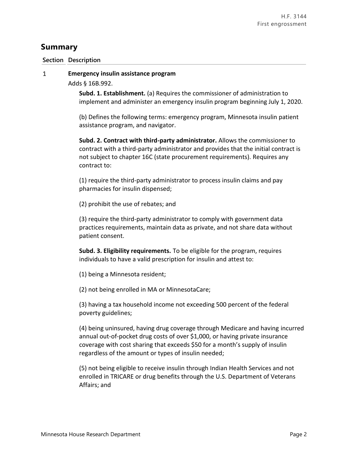# **Summary**

# **Section Description**

#### $\mathbf{1}$ **Emergency insulin assistance program**

Adds § 16B.992.

**Subd. 1. Establishment.** (a) Requires the commissioner of administration to implement and administer an emergency insulin program beginning July 1, 2020.

(b) Defines the following terms: emergency program, Minnesota insulin patient assistance program, and navigator.

**Subd. 2. Contract with third-party administrator.** Allows the commissioner to contract with a third-party administrator and provides that the initial contract is not subject to chapter 16C (state procurement requirements). Requires any contract to:

(1) require the third-party administrator to process insulin claims and pay pharmacies for insulin dispensed;

(2) prohibit the use of rebates; and

(3) require the third-party administrator to comply with government data practices requirements, maintain data as private, and not share data without patient consent.

**Subd. 3. Eligibility requirements.** To be eligible for the program, requires individuals to have a valid prescription for insulin and attest to:

(1) being a Minnesota resident;

(2) not being enrolled in MA or MinnesotaCare;

(3) having a tax household income not exceeding 500 percent of the federal poverty guidelines;

(4) being uninsured, having drug coverage through Medicare and having incurred annual out-of-pocket drug costs of over \$1,000, or having private insurance coverage with cost sharing that exceeds \$50 for a month's supply of insulin regardless of the amount or types of insulin needed;

(5) not being eligible to receive insulin through Indian Health Services and not enrolled in TRICARE or drug benefits through the U.S. Department of Veterans Affairs; and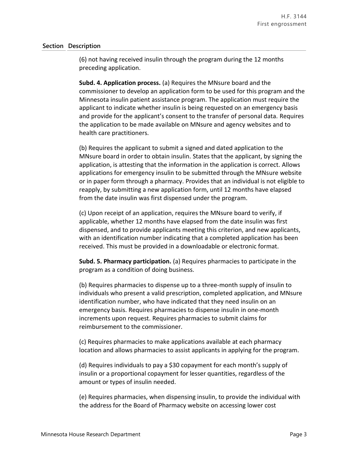(6) not having received insulin through the program during the 12 months preceding application.

**Subd. 4. Application process.** (a) Requires the MNsure board and the commissioner to develop an application form to be used for this program and the Minnesota insulin patient assistance program. The application must require the applicant to indicate whether insulin is being requested on an emergency basis and provide for the applicant's consent to the transfer of personal data. Requires the application to be made available on MNsure and agency websites and to health care practitioners.

(b) Requires the applicant to submit a signed and dated application to the MNsure board in order to obtain insulin. States that the applicant, by signing the application, is attesting that the information in the application is correct. Allows applications for emergency insulin to be submitted through the MNsure website or in paper form through a pharmacy. Provides that an individual is not eligible to reapply, by submitting a new application form, until 12 months have elapsed from the date insulin was first dispensed under the program.

(c) Upon receipt of an application, requires the MNsure board to verify, if applicable, whether 12 months have elapsed from the date insulin was first dispensed, and to provide applicants meeting this criterion, and new applicants, with an identification number indicating that a completed application has been received. This must be provided in a downloadable or electronic format.

**Subd. 5. Pharmacy participation.** (a) Requires pharmacies to participate in the program as a condition of doing business.

(b) Requires pharmacies to dispense up to a three-month supply of insulin to individuals who present a valid prescription, completed application, and MNsure identification number, who have indicated that they need insulin on an emergency basis. Requires pharmacies to dispense insulin in one-month increments upon request. Requires pharmacies to submit claims for reimbursement to the commissioner.

(c) Requires pharmacies to make applications available at each pharmacy location and allows pharmacies to assist applicants in applying for the program.

(d) Requires individuals to pay a \$30 copayment for each month's supply of insulin or a proportional copayment for lesser quantities, regardless of the amount or types of insulin needed.

(e) Requires pharmacies, when dispensing insulin, to provide the individual with the address for the Board of Pharmacy website on accessing lower cost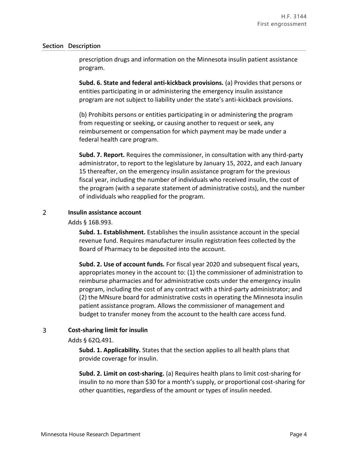prescription drugs and information on the Minnesota insulin patient assistance program.

**Subd. 6. State and federal anti-kickback provisions.** (a) Provides that persons or entities participating in or administering the emergency insulin assistance program are not subject to liability under the state's anti-kickback provisions.

(b) Prohibits persons or entities participating in or administering the program from requesting or seeking, or causing another to request or seek, any reimbursement or compensation for which payment may be made under a federal health care program.

**Subd. 7. Report.** Requires the commissioner, in consultation with any third-party administrator, to report to the legislature by January 15, 2022, and each January 15 thereafter, on the emergency insulin assistance program for the previous fiscal year, including the number of individuals who received insulin, the cost of the program (with a separate statement of administrative costs), and the number of individuals who reapplied for the program.

### $2<sup>1</sup>$ **Insulin assistance account**

# Adds § 16B.993.

**Subd. 1. Establishment.** Establishes the insulin assistance account in the special revenue fund. Requires manufacturer insulin registration fees collected by the Board of Pharmacy to be deposited into the account.

**Subd. 2. Use of account funds.** For fiscal year 2020 and subsequent fiscal years, appropriates money in the account to: (1) the commissioner of administration to reimburse pharmacies and for administrative costs under the emergency insulin program, including the cost of any contract with a third-party administrator; and (2) the MNsure board for administrative costs in operating the Minnesota insulin patient assistance program. Allows the commissioner of management and budget to transfer money from the account to the health care access fund.

### 3 **Cost-sharing limit for insulin**

Adds § 62Q.491.

**Subd. 1. Applicability.** States that the section applies to all health plans that provide coverage for insulin.

**Subd. 2. Limit on cost-sharing.** (a) Requires health plans to limit cost-sharing for insulin to no more than \$30 for a month's supply, or proportional cost-sharing for other quantities, regardless of the amount or types of insulin needed.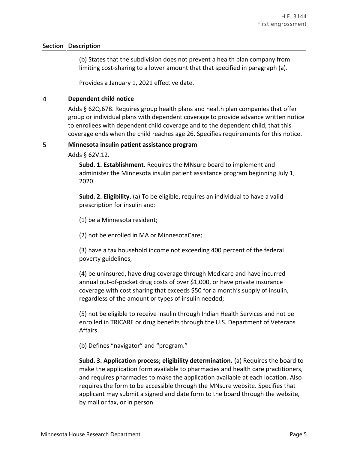(b) States that the subdivision does not prevent a health plan company from limiting cost-sharing to a lower amount that that specified in paragraph (a).

Provides a January 1, 2021 effective date.

### $\overline{4}$ **Dependent child notice**

Adds § 62Q.678. Requires group health plans and health plan companies that offer group or individual plans with dependent coverage to provide advance written notice to enrollees with dependent child coverage and to the dependent child, that this coverage ends when the child reaches age 26. Specifies requirements for this notice.

### 5 **Minnesota insulin patient assistance program**

Adds § 62V.12.

**Subd. 1. Establishment.** Requires the MNsure board to implement and administer the Minnesota insulin patient assistance program beginning July 1, 2020.

**Subd. 2. Eligibility.** (a) To be eligible, requires an individual to have a valid prescription for insulin and:

(1) be a Minnesota resident;

(2) not be enrolled in MA or MinnesotaCare;

(3) have a tax household income not exceeding 400 percent of the federal poverty guidelines;

(4) be uninsured, have drug coverage through Medicare and have incurred annual out-of-pocket drug costs of over \$1,000, or have private insurance coverage with cost sharing that exceeds \$50 for a month's supply of insulin, regardless of the amount or types of insulin needed;

(5) not be eligible to receive insulin through Indian Health Services and not be enrolled in TRICARE or drug benefits through the U.S. Department of Veterans Affairs.

(b) Defines "navigator" and "program."

**Subd. 3. Application process; eligibility determination.** (a) Requires the board to make the application form available to pharmacies and health care practitioners, and requires pharmacies to make the application available at each location. Also requires the form to be accessible through the MNsure website. Specifies that applicant may submit a signed and date form to the board through the website, by mail or fax, or in person.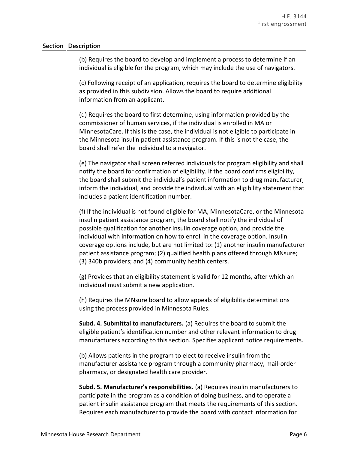(b) Requires the board to develop and implement a process to determine if an individual is eligible for the program, which may include the use of navigators.

(c) Following receipt of an application, requires the board to determine eligibility as provided in this subdivision. Allows the board to require additional information from an applicant.

(d) Requires the board to first determine, using information provided by the commissioner of human services, if the individual is enrolled in MA or MinnesotaCare. If this is the case, the individual is not eligible to participate in the Minnesota insulin patient assistance program. If this is not the case, the board shall refer the individual to a navigator.

(e) The navigator shall screen referred individuals for program eligibility and shall notify the board for confirmation of eligibility. If the board confirms eligibility, the board shall submit the individual's patient information to drug manufacturer, inform the individual, and provide the individual with an eligibility statement that includes a patient identification number.

(f) If the individual is not found eligible for MA, MinnesotaCare, or the Minnesota insulin patient assistance program, the board shall notify the individual of possible qualification for another insulin coverage option, and provide the individual with information on how to enroll in the coverage option. Insulin coverage options include, but are not limited to: (1) another insulin manufacturer patient assistance program; (2) qualified health plans offered through MNsure; (3) 340b providers; and (4) community health centers.

(g) Provides that an eligibility statement is valid for 12 months, after which an individual must submit a new application.

(h) Requires the MNsure board to allow appeals of eligibility determinations using the process provided in Minnesota Rules.

**Subd. 4. Submittal to manufacturers.** (a) Requires the board to submit the eligible patient's identification number and other relevant information to drug manufacturers according to this section. Specifies applicant notice requirements.

(b) Allows patients in the program to elect to receive insulin from the manufacturer assistance program through a community pharmacy, mail-order pharmacy, or designated health care provider.

**Subd. 5. Manufacturer's responsibilities.** (a) Requires insulin manufacturers to participate in the program as a condition of doing business, and to operate a patient insulin assistance program that meets the requirements of this section. Requires each manufacturer to provide the board with contact information for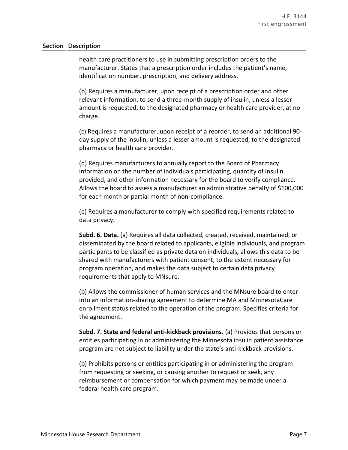health care practitioners to use in submitting prescription orders to the manufacturer. States that a prescription order includes the patient's name, identification number, prescription, and delivery address.

(b) Requires a manufacturer, upon receipt of a prescription order and other relevant information, to send a three-month supply of insulin, unless a lesser amount is requested, to the designated pharmacy or health care provider, at no charge.

(c) Requires a manufacturer, upon receipt of a reorder, to send an additional 90 day supply of the insulin, unless a lesser amount is requested, to the designated pharmacy or health care provider.

(d) Requires manufacturers to annually report to the Board of Pharmacy information on the number of individuals participating, quantity of insulin provided, and other information necessary for the board to verify compliance. Allows the board to assess a manufacturer an administrative penalty of \$100,000 for each month or partial month of non-compliance.

(e) Requires a manufacturer to comply with specified requirements related to data privacy.

**Subd. 6. Data.** (a) Requires all data collected, created, received, maintained, or disseminated by the board related to applicants, eligible individuals, and program participants to be classified as private data on individuals, allows this data to be shared with manufacturers with patient consent, to the extent necessary for program operation, and makes the data subject to certain data privacy requirements that apply to MNsure.

(b) Allows the commissioner of human services and the MNsure board to enter into an information-sharing agreement to determine MA and MinnesotaCare enrollment status related to the operation of the program. Specifies criteria for the agreement.

**Subd. 7. State and federal anti-kickback provisions.** (a) Provides that persons or entities participating in or administering the Minnesota insulin patient assistance program are not subject to liability under the state's anti-kickback provisions.

(b) Prohibits persons or entities participating in or administering the program from requesting or seeking, or causing another to request or seek, any reimbursement or compensation for which payment may be made under a federal health care program.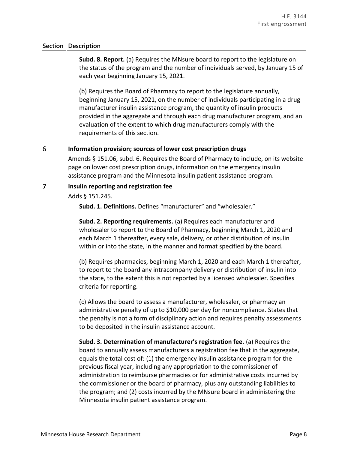**Subd. 8. Report.** (a) Requires the MNsure board to report to the legislature on the status of the program and the number of individuals served, by January 15 of each year beginning January 15, 2021.

(b) Requires the Board of Pharmacy to report to the legislature annually, beginning January 15, 2021, on the number of individuals participating in a drug manufacturer insulin assistance program, the quantity of insulin products provided in the aggregate and through each drug manufacturer program, and an evaluation of the extent to which drug manufacturers comply with the requirements of this section.

### 6 **Information provision; sources of lower cost prescription drugs**

Amends § 151.06, subd. 6. Requires the Board of Pharmacy to include, on its website page on lower cost prescription drugs, information on the emergency insulin assistance program and the Minnesota insulin patient assistance program.

### $\overline{7}$ **Insulin reporting and registration fee**

Adds § 151.245.

**Subd. 1. Definitions.** Defines "manufacturer" and "wholesaler."

**Subd. 2. Reporting requirements.** (a) Requires each manufacturer and wholesaler to report to the Board of Pharmacy, beginning March 1, 2020 and each March 1 thereafter, every sale, delivery, or other distribution of insulin within or into the state, in the manner and format specified by the board.

(b) Requires pharmacies, beginning March 1, 2020 and each March 1 thereafter, to report to the board any intracompany delivery or distribution of insulin into the state, to the extent this is not reported by a licensed wholesaler. Specifies criteria for reporting.

(c) Allows the board to assess a manufacturer, wholesaler, or pharmacy an administrative penalty of up to \$10,000 per day for noncompliance. States that the penalty is not a form of disciplinary action and requires penalty assessments to be deposited in the insulin assistance account.

**Subd. 3. Determination of manufacturer's registration fee.** (a) Requires the board to annually assess manufacturers a registration fee that in the aggregate, equals the total cost of: (1) the emergency insulin assistance program for the previous fiscal year, including any appropriation to the commissioner of administration to reimburse pharmacies or for administrative costs incurred by the commissioner or the board of pharmacy, plus any outstanding liabilities to the program; and (2) costs incurred by the MNsure board in administering the Minnesota insulin patient assistance program.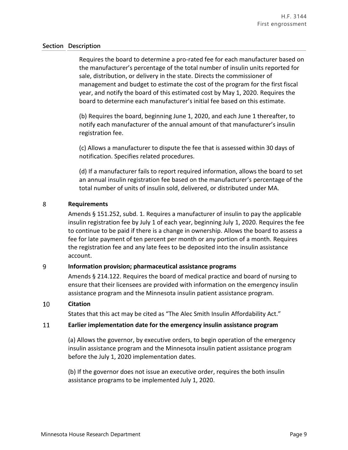Requires the board to determine a pro-rated fee for each manufacturer based on the manufacturer's percentage of the total number of insulin units reported for sale, distribution, or delivery in the state. Directs the commissioner of management and budget to estimate the cost of the program for the first fiscal year, and notify the board of this estimated cost by May 1, 2020. Requires the board to determine each manufacturer's initial fee based on this estimate.

(b) Requires the board, beginning June 1, 2020, and each June 1 thereafter, to notify each manufacturer of the annual amount of that manufacturer's insulin registration fee.

(c) Allows a manufacturer to dispute the fee that is assessed within 30 days of notification. Specifies related procedures.

(d) If a manufacturer fails to report required information, allows the board to set an annual insulin registration fee based on the manufacturer's percentage of the total number of units of insulin sold, delivered, or distributed under MA.

### 8 **Requirements**

Amends § 151.252, subd. 1. Requires a manufacturer of insulin to pay the applicable insulin registration fee by July 1 of each year, beginning July 1, 2020. Requires the fee to continue to be paid if there is a change in ownership. Allows the board to assess a fee for late payment of ten percent per month or any portion of a month. Requires the registration fee and any late fees to be deposited into the insulin assistance account.

### 9 **Information provision; pharmaceutical assistance programs**

Amends § 214.122. Requires the board of medical practice and board of nursing to ensure that their licensees are provided with information on the emergency insulin assistance program and the Minnesota insulin patient assistance program.

### 10 **Citation**

States that this act may be cited as "The Alec Smith Insulin Affordability Act."

### 11 **Earlier implementation date for the emergency insulin assistance program**

(a) Allows the governor, by executive orders, to begin operation of the emergency insulin assistance program and the Minnesota insulin patient assistance program before the July 1, 2020 implementation dates.

(b) If the governor does not issue an executive order, requires the both insulin assistance programs to be implemented July 1, 2020.